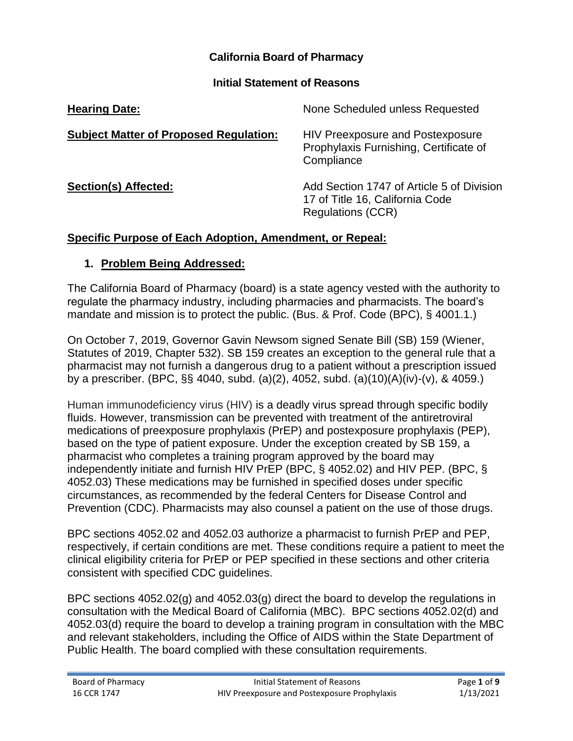#### **California Board of Pharmacy**

#### **Initial Statement of Reasons**

| <b>Hearing Date:</b>                          | None Scheduled unless Requested                                                                          |
|-----------------------------------------------|----------------------------------------------------------------------------------------------------------|
| <b>Subject Matter of Proposed Regulation:</b> | <b>HIV Preexposure and Postexposure</b><br>Prophylaxis Furnishing, Certificate of<br>Compliance          |
| Section(s) Affected:                          | Add Section 1747 of Article 5 of Division<br>17 of Title 16, California Code<br><b>Regulations (CCR)</b> |

#### **Specific Purpose of Each Adoption, Amendment, or Repeal:**

#### **1. Problem Being Addressed:**

The California Board of Pharmacy (board) is a state agency vested with the authority to regulate the pharmacy industry, including pharmacies and pharmacists. The board's mandate and mission is to protect the public. (Bus. & Prof. Code (BPC), § 4001.1.)

On October 7, 2019, Governor Gavin Newsom signed Senate Bill (SB) 159 (Wiener, Statutes of 2019, Chapter 532). SB 159 creates an exception to the general rule that a pharmacist may not furnish a dangerous drug to a patient without a prescription issued by a prescriber. (BPC, §§ 4040, subd. (a)(2), 4052, subd. (a)(10)(A)(iv)-(v), & 4059.)

Human immunodeficiency virus (HIV) is a deadly virus spread through specific bodily fluids. However, transmission can be prevented with treatment of the antiretroviral medications of preexposure prophylaxis (PrEP) and postexposure prophylaxis (PEP), based on the type of patient exposure. Under the exception created by SB 159, a pharmacist who completes a training program approved by the board may independently initiate and furnish HIV PrEP (BPC, § 4052.02) and HIV PEP. (BPC, § 4052.03) These medications may be furnished in specified doses under specific circumstances, as recommended by the federal Centers for Disease Control and Prevention (CDC). Pharmacists may also counsel a patient on the use of those drugs.

BPC sections 4052.02 and 4052.03 authorize a pharmacist to furnish PrEP and PEP, respectively, if certain conditions are met. These conditions require a patient to meet the clinical eligibility criteria for PrEP or PEP specified in these sections and other criteria consistent with specified CDC guidelines.

BPC sections 4052.02(g) and 4052.03(g) direct the board to develop the regulations in consultation with the Medical Board of California (MBC). BPC sections 4052.02(d) and 4052.03(d) require the board to develop a training program in consultation with the MBC and relevant stakeholders, including the Office of AIDS within the State Department of Public Health. The board complied with these consultation requirements.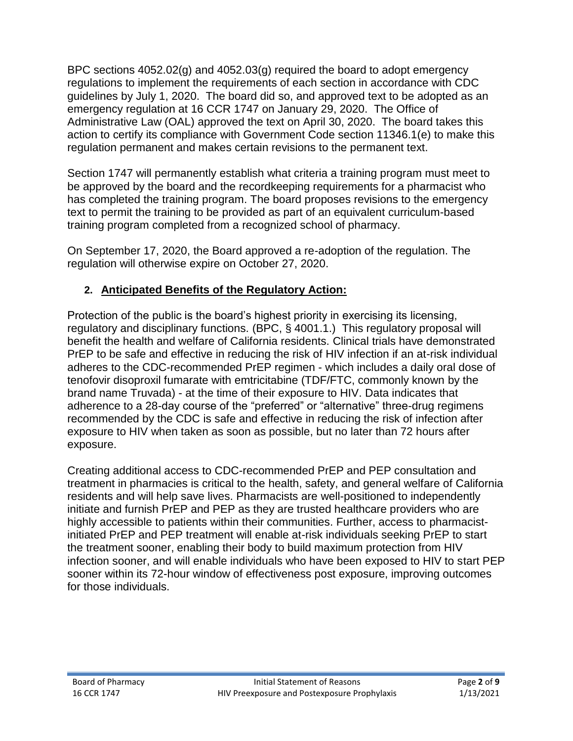BPC sections 4052.02(g) and 4052.03(g) required the board to adopt emergency regulations to implement the requirements of each section in accordance with CDC guidelines by July 1, 2020. The board did so, and approved text to be adopted as an emergency regulation at 16 CCR 1747 on January 29, 2020. The Office of Administrative Law (OAL) approved the text on April 30, 2020. The board takes this action to certify its compliance with Government Code section 11346.1(e) to make this regulation permanent and makes certain revisions to the permanent text.

Section 1747 will permanently establish what criteria a training program must meet to be approved by the board and the recordkeeping requirements for a pharmacist who has completed the training program. The board proposes revisions to the emergency text to permit the training to be provided as part of an equivalent curriculum-based training program completed from a recognized school of pharmacy.

On September 17, 2020, the Board approved a re-adoption of the regulation. The regulation will otherwise expire on October 27, 2020.

# **2. Anticipated Benefits of the Regulatory Action:**

Protection of the public is the board's highest priority in exercising its licensing, regulatory and disciplinary functions. (BPC, § 4001.1.) This regulatory proposal will benefit the health and welfare of California residents. Clinical trials have demonstrated PrEP to be safe and effective in reducing the risk of HIV infection if an at-risk individual adheres to the CDC-recommended PrEP regimen - which includes a daily oral dose of tenofovir disoproxil fumarate with emtricitabine (TDF/FTC, commonly known by the brand name Truvada) - at the time of their exposure to HIV. Data indicates that adherence to a 28-day course of the "preferred" or "alternative" three-drug regimens recommended by the CDC is safe and effective in reducing the risk of infection after exposure to HIV when taken as soon as possible, but no later than 72 hours after exposure.

Creating additional access to CDC-recommended PrEP and PEP consultation and treatment in pharmacies is critical to the health, safety, and general welfare of California residents and will help save lives. Pharmacists are well-positioned to independently initiate and furnish PrEP and PEP as they are trusted healthcare providers who are highly accessible to patients within their communities. Further, access to pharmacistinitiated PrEP and PEP treatment will enable at-risk individuals seeking PrEP to start the treatment sooner, enabling their body to build maximum protection from HIV infection sooner, and will enable individuals who have been exposed to HIV to start PEP sooner within its 72-hour window of effectiveness post exposure, improving outcomes for those individuals.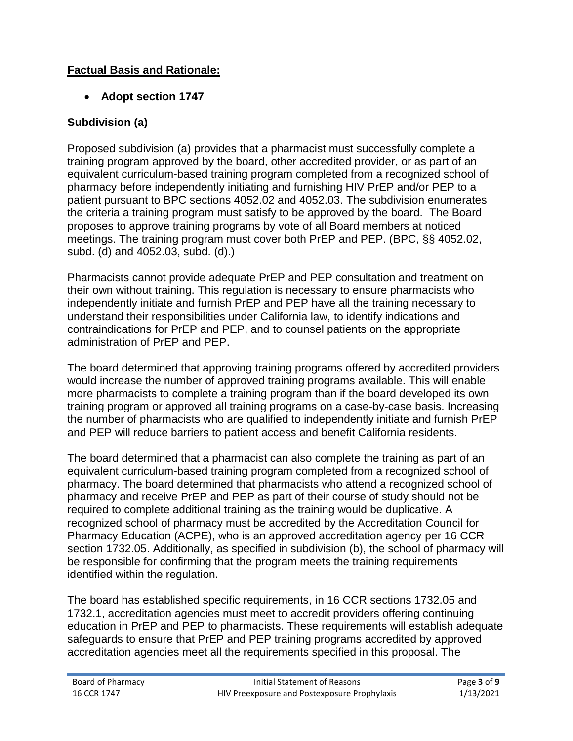### **Factual Basis and Rationale:**

### • **Adopt section 1747**

## **Subdivision (a)**

Proposed subdivision (a) provides that a pharmacist must successfully complete a training program approved by the board, other accredited provider, or as part of an equivalent curriculum-based training program completed from a recognized school of pharmacy before independently initiating and furnishing HIV PrEP and/or PEP to a patient pursuant to BPC sections 4052.02 and 4052.03. The subdivision enumerates the criteria a training program must satisfy to be approved by the board. The Board proposes to approve training programs by vote of all Board members at noticed meetings. The training program must cover both PrEP and PEP. (BPC, §§ 4052.02, subd. (d) and 4052.03, subd. (d).)

Pharmacists cannot provide adequate PrEP and PEP consultation and treatment on their own without training. This regulation is necessary to ensure pharmacists who independently initiate and furnish PrEP and PEP have all the training necessary to understand their responsibilities under California law, to identify indications and contraindications for PrEP and PEP, and to counsel patients on the appropriate administration of PrEP and PEP.

The board determined that approving training programs offered by accredited providers would increase the number of approved training programs available. This will enable more pharmacists to complete a training program than if the board developed its own training program or approved all training programs on a case-by-case basis. Increasing the number of pharmacists who are qualified to independently initiate and furnish PrEP and PEP will reduce barriers to patient access and benefit California residents.

The board determined that a pharmacist can also complete the training as part of an equivalent curriculum-based training program completed from a recognized school of pharmacy. The board determined that pharmacists who attend a recognized school of pharmacy and receive PrEP and PEP as part of their course of study should not be required to complete additional training as the training would be duplicative. A recognized school of pharmacy must be accredited by the Accreditation Council for Pharmacy Education (ACPE), who is an approved accreditation agency per 16 CCR section 1732.05. Additionally, as specified in subdivision (b), the school of pharmacy will be responsible for confirming that the program meets the training requirements identified within the regulation.

The board has established specific requirements, in 16 CCR sections 1732.05 and 1732.1, accreditation agencies must meet to accredit providers offering continuing education in PrEP and PEP to pharmacists. These requirements will establish adequate safeguards to ensure that PrEP and PEP training programs accredited by approved accreditation agencies meet all the requirements specified in this proposal. The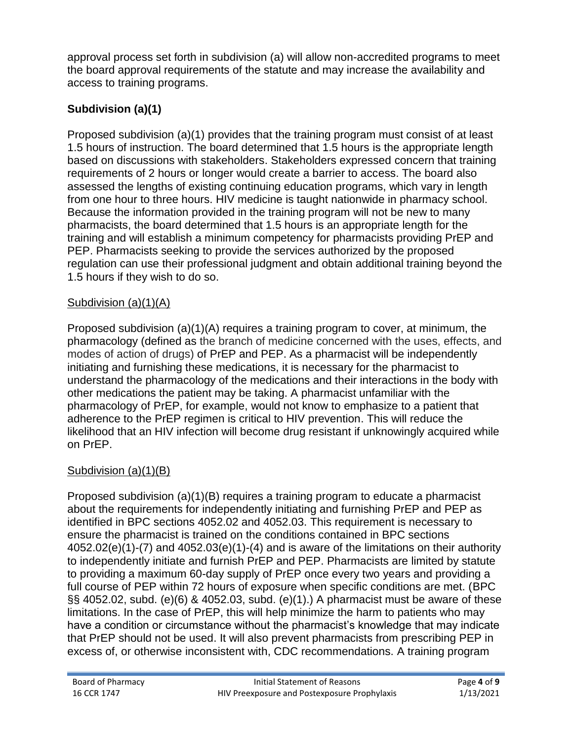approval process set forth in subdivision (a) will allow non-accredited programs to meet the board approval requirements of the statute and may increase the availability and access to training programs.

# **Subdivision (a)(1)**

Proposed subdivision (a)(1) provides that the training program must consist of at least 1.5 hours of instruction. The board determined that 1.5 hours is the appropriate length based on discussions with stakeholders. Stakeholders expressed concern that training requirements of 2 hours or longer would create a barrier to access. The board also assessed the lengths of existing continuing education programs, which vary in length from one hour to three hours. HIV medicine is taught nationwide in pharmacy school. Because the information provided in the training program will not be new to many pharmacists, the board determined that 1.5 hours is an appropriate length for the training and will establish a minimum competency for pharmacists providing PrEP and PEP. Pharmacists seeking to provide the services authorized by the proposed regulation can use their professional judgment and obtain additional training beyond the 1.5 hours if they wish to do so.

#### Subdivision (a)(1)(A)

Proposed subdivision (a)(1)(A) requires a training program to cover, at minimum, the pharmacology (defined as the branch of medicine concerned with the uses, effects, and modes of action of drugs) of PrEP and PEP. As a pharmacist will be independently initiating and furnishing these medications, it is necessary for the pharmacist to understand the pharmacology of the medications and their interactions in the body with other medications the patient may be taking. A pharmacist unfamiliar with the pharmacology of PrEP, for example, would not know to emphasize to a patient that adherence to the PrEP regimen is critical to HIV prevention. This will reduce the likelihood that an HIV infection will become drug resistant if unknowingly acquired while on PrEP.

### Subdivision (a)(1)(B)

Proposed subdivision (a)(1)(B) requires a training program to educate a pharmacist about the requirements for independently initiating and furnishing PrEP and PEP as identified in BPC sections 4052.02 and 4052.03. This requirement is necessary to ensure the pharmacist is trained on the conditions contained in BPC sections 4052.02(e)(1)-(7) and 4052.03(e)(1)-(4) and is aware of the limitations on their authority to independently initiate and furnish PrEP and PEP. Pharmacists are limited by statute to providing a maximum 60-day supply of PrEP once every two years and providing a full course of PEP within 72 hours of exposure when specific conditions are met. (BPC §§ 4052.02, subd. (e)(6) & 4052.03, subd. (e)(1).) A pharmacist must be aware of these limitations. In the case of PrEP, this will help minimize the harm to patients who may have a condition or circumstance without the pharmacist's knowledge that may indicate that PrEP should not be used. It will also prevent pharmacists from prescribing PEP in excess of, or otherwise inconsistent with, CDC recommendations. A training program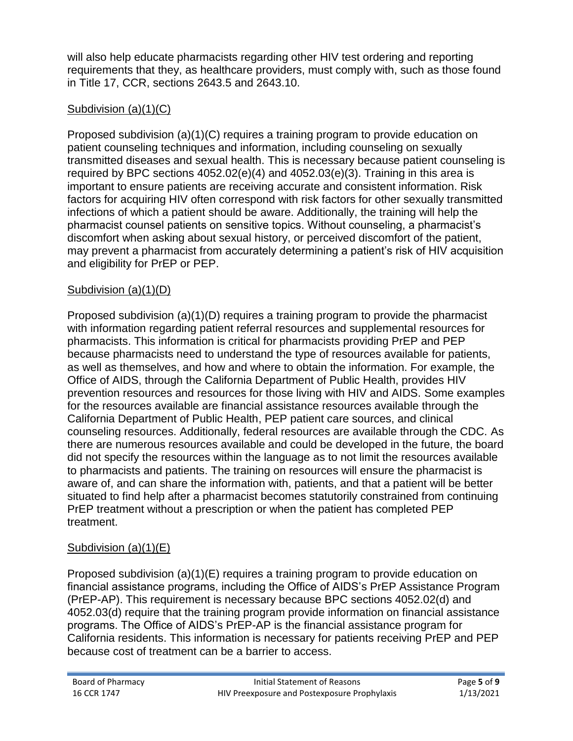will also help educate pharmacists regarding other HIV test ordering and reporting requirements that they, as healthcare providers, must comply with, such as those found in Title 17, CCR, sections 2643.5 and 2643.10.

## Subdivision (a)(1)(C)

Proposed subdivision (a)(1)(C) requires a training program to provide education on patient counseling techniques and information, including counseling on sexually transmitted diseases and sexual health. This is necessary because patient counseling is required by BPC sections 4052.02(e)(4) and 4052.03(e)(3). Training in this area is important to ensure patients are receiving accurate and consistent information. Risk factors for acquiring HIV often correspond with risk factors for other sexually transmitted infections of which a patient should be aware. Additionally, the training will help the pharmacist counsel patients on sensitive topics. Without counseling, a pharmacist's discomfort when asking about sexual history, or perceived discomfort of the patient, may prevent a pharmacist from accurately determining a patient's risk of HIV acquisition and eligibility for PrEP or PEP.

### Subdivision (a)(1)(D)

Proposed subdivision (a)(1)(D) requires a training program to provide the pharmacist with information regarding patient referral resources and supplemental resources for pharmacists. This information is critical for pharmacists providing PrEP and PEP because pharmacists need to understand the type of resources available for patients, as well as themselves, and how and where to obtain the information. For example, the Office of AIDS, through the California Department of Public Health, provides HIV prevention resources and resources for those living with HIV and AIDS. Some examples for the resources available are financial assistance resources available through the California Department of Public Health, PEP patient care sources, and clinical counseling resources. Additionally, federal resources are available through the CDC. As there are numerous resources available and could be developed in the future, the board did not specify the resources within the language as to not limit the resources available to pharmacists and patients. The training on resources will ensure the pharmacist is aware of, and can share the information with, patients, and that a patient will be better situated to find help after a pharmacist becomes statutorily constrained from continuing PrEP treatment without a prescription or when the patient has completed PEP treatment.

### Subdivision (a)(1)(E)

Proposed subdivision (a)(1)(E) requires a training program to provide education on financial assistance programs, including the Office of AIDS's PrEP Assistance Program (PrEP-AP). This requirement is necessary because BPC sections 4052.02(d) and 4052.03(d) require that the training program provide information on financial assistance programs. The Office of AIDS's PrEP-AP is the financial assistance program for California residents. This information is necessary for patients receiving PrEP and PEP because cost of treatment can be a barrier to access.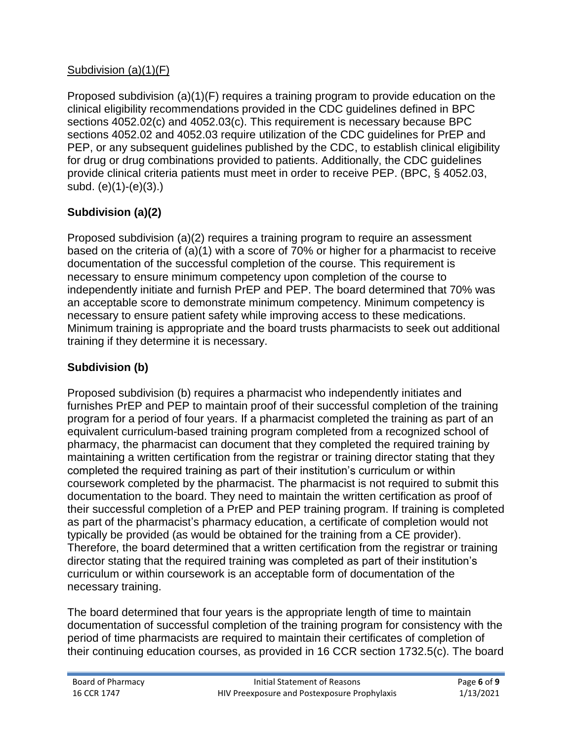## Subdivision (a)(1)(F)

Proposed subdivision (a)(1)(F) requires a training program to provide education on the clinical eligibility recommendations provided in the CDC guidelines defined in BPC sections 4052.02(c) and 4052.03(c). This requirement is necessary because BPC sections 4052.02 and 4052.03 require utilization of the CDC guidelines for PrEP and PEP, or any subsequent guidelines published by the CDC, to establish clinical eligibility for drug or drug combinations provided to patients. Additionally, the CDC guidelines provide clinical criteria patients must meet in order to receive PEP. (BPC, § 4052.03, subd. (e)(1)-(e)(3).)

# **Subdivision (a)(2)**

Proposed subdivision (a)(2) requires a training program to require an assessment based on the criteria of (a)(1) with a score of 70% or higher for a pharmacist to receive documentation of the successful completion of the course. This requirement is necessary to ensure minimum competency upon completion of the course to independently initiate and furnish PrEP and PEP. The board determined that 70% was an acceptable score to demonstrate minimum competency. Minimum competency is necessary to ensure patient safety while improving access to these medications. Minimum training is appropriate and the board trusts pharmacists to seek out additional training if they determine it is necessary.

# **Subdivision (b)**

Proposed subdivision (b) requires a pharmacist who independently initiates and furnishes PrEP and PEP to maintain proof of their successful completion of the training program for a period of four years. If a pharmacist completed the training as part of an equivalent curriculum-based training program completed from a recognized school of pharmacy, the pharmacist can document that they completed the required training by maintaining a written certification from the registrar or training director stating that they completed the required training as part of their institution's curriculum or within coursework completed by the pharmacist. The pharmacist is not required to submit this documentation to the board. They need to maintain the written certification as proof of their successful completion of a PrEP and PEP training program. If training is completed as part of the pharmacist's pharmacy education, a certificate of completion would not typically be provided (as would be obtained for the training from a CE provider). Therefore, the board determined that a written certification from the registrar or training director stating that the required training was completed as part of their institution's curriculum or within coursework is an acceptable form of documentation of the necessary training.

The board determined that four years is the appropriate length of time to maintain documentation of successful completion of the training program for consistency with the period of time pharmacists are required to maintain their certificates of completion of their continuing education courses, as provided in 16 CCR section 1732.5(c). The board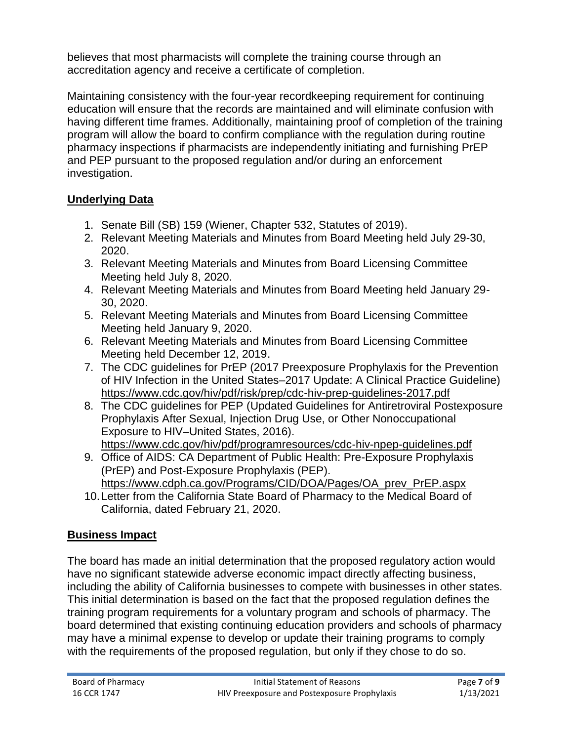believes that most pharmacists will complete the training course through an accreditation agency and receive a certificate of completion.

Maintaining consistency with the four-year recordkeeping requirement for continuing education will ensure that the records are maintained and will eliminate confusion with having different time frames. Additionally, maintaining proof of completion of the training program will allow the board to confirm compliance with the regulation during routine pharmacy inspections if pharmacists are independently initiating and furnishing PrEP and PEP pursuant to the proposed regulation and/or during an enforcement investigation.

# **Underlying Data**

- 1. Senate Bill (SB) 159 (Wiener, Chapter 532, Statutes of 2019).
- 2. Relevant Meeting Materials and Minutes from Board Meeting held July 29-30, 2020.
- 3. Relevant Meeting Materials and Minutes from Board Licensing Committee Meeting held July 8, 2020.
- 4. Relevant Meeting Materials and Minutes from Board Meeting held January 29- 30, 2020.
- 5. Relevant Meeting Materials and Minutes from Board Licensing Committee Meeting held January 9, 2020.
- 6. Relevant Meeting Materials and Minutes from Board Licensing Committee Meeting held December 12, 2019.
- 7. The CDC guidelines for PrEP (2017 Preexposure Prophylaxis for the Prevention of HIV Infection in the United States–2017 Update: A Clinical Practice Guideline) <https://www.cdc.gov/hiv/pdf/risk/prep/cdc-hiv-prep-guidelines-2017.pdf>
- 8. The CDC guidelines for PEP (Updated Guidelines for Antiretroviral Postexposure Prophylaxis After Sexual, Injection Drug Use, or Other Nonoccupational Exposure to HIV–United States, 2016). <https://www.cdc.gov/hiv/pdf/programresources/cdc-hiv-npep-guidelines.pdf>
- 9. Office of AIDS: CA Department of Public Health: Pre-Exposure Prophylaxis (PrEP) and Post-Exposure Prophylaxis (PEP).
- [https://www.cdph.ca.gov/Programs/CID/DOA/Pages/OA\\_prev\\_PrEP.aspx](https://www.cdph.ca.gov/Programs/CID/DOA/Pages/OA_prev_PrEP.aspx) 10.Letter from the California State Board of Pharmacy to the Medical Board of California, dated February 21, 2020.

# **Business Impact**

The board has made an initial determination that the proposed regulatory action would have no significant statewide adverse economic impact directly affecting business, including the ability of California businesses to compete with businesses in other states. This initial determination is based on the fact that the proposed regulation defines the training program requirements for a voluntary program and schools of pharmacy. The board determined that existing continuing education providers and schools of pharmacy may have a minimal expense to develop or update their training programs to comply with the requirements of the proposed regulation, but only if they chose to do so.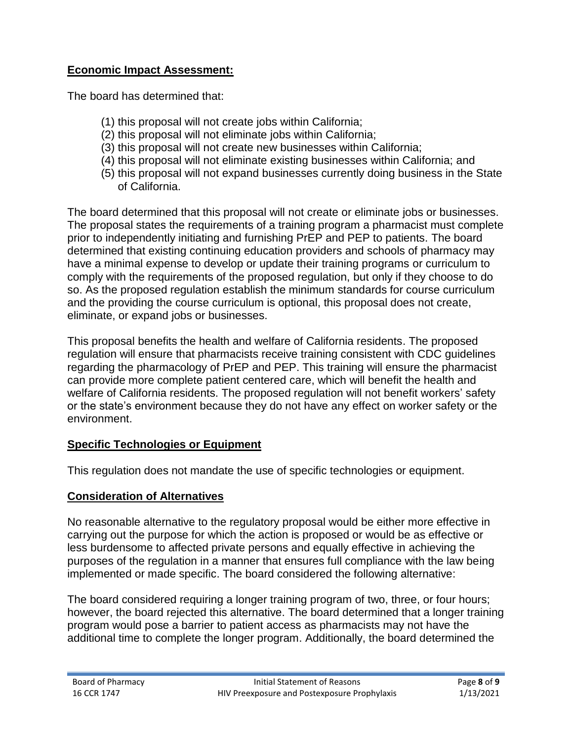#### **Economic Impact Assessment:**

The board has determined that:

- (1) this proposal will not create jobs within California;
- (2) this proposal will not eliminate jobs within California;
- (3) this proposal will not create new businesses within California;
- (4) this proposal will not eliminate existing businesses within California; and
- (5) this proposal will not expand businesses currently doing business in the State of California.

The board determined that this proposal will not create or eliminate jobs or businesses. The proposal states the requirements of a training program a pharmacist must complete prior to independently initiating and furnishing PrEP and PEP to patients. The board determined that existing continuing education providers and schools of pharmacy may have a minimal expense to develop or update their training programs or curriculum to comply with the requirements of the proposed regulation, but only if they choose to do so. As the proposed regulation establish the minimum standards for course curriculum and the providing the course curriculum is optional, this proposal does not create, eliminate, or expand jobs or businesses.

This proposal benefits the health and welfare of California residents. The proposed regulation will ensure that pharmacists receive training consistent with CDC guidelines regarding the pharmacology of PrEP and PEP. This training will ensure the pharmacist can provide more complete patient centered care, which will benefit the health and welfare of California residents. The proposed regulation will not benefit workers' safety or the state's environment because they do not have any effect on worker safety or the environment.

#### **Specific Technologies or Equipment**

This regulation does not mandate the use of specific technologies or equipment.

#### **Consideration of Alternatives**

No reasonable alternative to the regulatory proposal would be either more effective in carrying out the purpose for which the action is proposed or would be as effective or less burdensome to affected private persons and equally effective in achieving the purposes of the regulation in a manner that ensures full compliance with the law being implemented or made specific. The board considered the following alternative:

The board considered requiring a longer training program of two, three, or four hours; however, the board rejected this alternative. The board determined that a longer training program would pose a barrier to patient access as pharmacists may not have the additional time to complete the longer program. Additionally, the board determined the